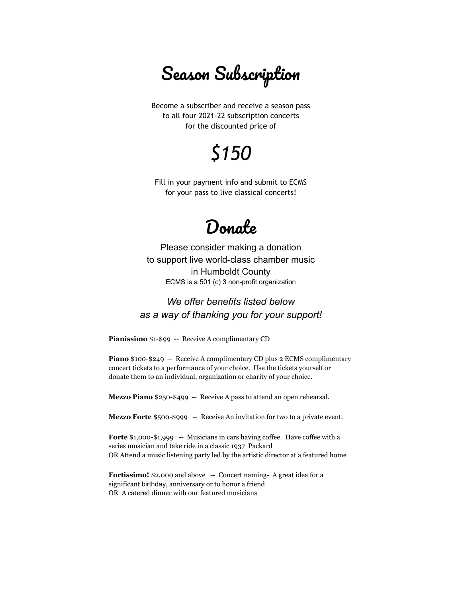Season Subscription

Become a subscriber and receive a season pass to all four 2021-22 subscription concerts for the discounted price of

## *\$150*

Fill in your payment info and submit to ECMS for your pass to live classical concerts!

## Donate

Please consider making a donation to support live world-class chamber music in Humboldt County ECMS is a 501 (c) 3 non-profit organization

## *We offer benefits listed below as a way of thanking you for your support!*

**Pianissimo** \$1-\$99 -- Receive A complimentary CD

**Piano** \$100-\$249 -- Receive A complimentary CD plus 2 ECMS complimentary concert tickets to a performance of your choice. Use the tickets yourself or donate them to an individual, organization or charity of your choice.

**Mezzo Piano** \$250-\$499 -- Receive A pass to attend an open rehearsal.

**Mezzo Forte** \$500-\$999 -- Receive An invitation for two to a private event.

**Forte** \$1,000-\$1,999 -- Musicians in cars having coffee. Have coffee with a series musician and take ride in a classic 1937 Packard OR Attend a music listening party led by the artistic director at a featured home

**Fortissimo!** \$2,000 and above -- Concert naming- A great idea for a significant birthday, anniversary or to honor a friend OR A catered dinner with our featured musicians